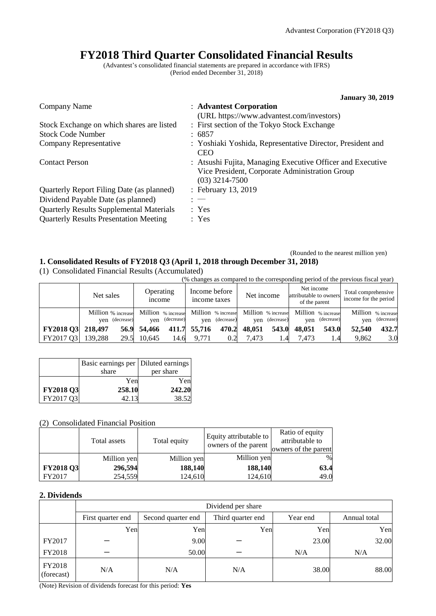# **FY2018 Third Quarter Consolidated Financial Results**

(Advantest's consolidated financial statements are prepared in accordance with IFRS) (Period ended December 31, 2018)

|                                                 | <b>January 30, 2019</b>                                                                                                          |
|-------------------------------------------------|----------------------------------------------------------------------------------------------------------------------------------|
| Company Name                                    | : Advantest Corporation                                                                                                          |
|                                                 | (URL https://www.advantest.com/investors)                                                                                        |
| Stock Exchange on which shares are listed       | : First section of the Tokyo Stock Exchange                                                                                      |
| <b>Stock Code Number</b>                        | : 6857                                                                                                                           |
| Company Representative                          | : Yoshiaki Yoshida, Representative Director, President and<br><b>CEO</b>                                                         |
| <b>Contact Person</b>                           | : Atsushi Fujita, Managing Executive Officer and Executive<br>Vice President, Corporate Administration Group<br>$(03)$ 3214-7500 |
| Quarterly Report Filing Date (as planned)       | : February 13, 2019                                                                                                              |
| Dividend Payable Date (as planned)              | $: -$                                                                                                                            |
| <b>Quarterly Results Supplemental Materials</b> | : Yes                                                                                                                            |
| <b>Quarterly Results Presentation Meeting</b>   | : Yes                                                                                                                            |

### (Rounded to the nearest million yen) **1. Consolidated Results of FY2018 Q3 (April 1, 2018 through December 31, 2018)**

(1) Consolidated Financial Results (Accumulated)

|                   |                                      |                            |                                                                               |                 |                                                       | (% changes as compared to the corresponding period of the previous fiscal year) |
|-------------------|--------------------------------------|----------------------------|-------------------------------------------------------------------------------|-----------------|-------------------------------------------------------|---------------------------------------------------------------------------------|
|                   | Net sales                            | Operating<br><i>n</i> come | Income before<br>income taxes                                                 | Net income      | Net income<br>attributable to owners<br>of the parent | Total comprehensive<br>income for the period                                    |
|                   | Million % increase<br>ven (decrease) | (decrease)<br>ven          | Million % increase Million % increase Million % increase<br>(decrease)<br>ven | ven (decrease)  | Million % increase<br>(decrease)<br>ven               | Million % increase<br>(decrease)<br>ven                                         |
| FY2018 Q3 218,497 | 56.9                                 | 54,466                     | 470.2<br>411.7 55,716                                                         | 48,051<br>543.0 | 48,051<br>543.0                                       | 432.7<br>52,540                                                                 |

FY2017 Q3 139,288 29.5 10,645 14.6 9,771 0.2 7,473 1.4 7,473 1.4 9,862 3.0

|           | Basic earnings per   Diluted earnings<br>share | per share |
|-----------|------------------------------------------------|-----------|
|           | Yen                                            | Yen       |
| FY2018 Q3 | 258.10                                         | 242.20    |
| FY2017 Q3 | 42.13                                          | 38.52     |

## (2) Consolidated Financial Position

|                  | Total assets | Total equity | Equity attributable to<br>owners of the parent | Ratio of equity<br>attributable to<br>owners of the parent |
|------------------|--------------|--------------|------------------------------------------------|------------------------------------------------------------|
|                  | Million yen  | Million yen  | Million yen                                    | $\%$                                                       |
| <b>FY2018 Q3</b> | 296,594      | 188,140      | 188,140                                        | 63.4                                                       |
| FY2017           | 254,559      | 124,610      | 124,610                                        | 49.0                                                       |

## **2. Dividends**

|                      | Dividend per share |                    |                   |          |              |  |  |
|----------------------|--------------------|--------------------|-------------------|----------|--------------|--|--|
|                      | First quarter end  | Second quarter end | Third quarter end | Year end | Annual total |  |  |
|                      | Yen                | Yen                | Yen               | Yen      | Yen          |  |  |
| FY2017               |                    | 9.00               |                   | 23.00    | 32.00        |  |  |
| FY2018               |                    | 50.00              |                   | N/A      | N/A          |  |  |
| FY2018<br>(forecast) | N/A                | N/A                | N/A               | 38.00    | 88.00        |  |  |

(Note) Revision of dividends forecast for this period: **Yes**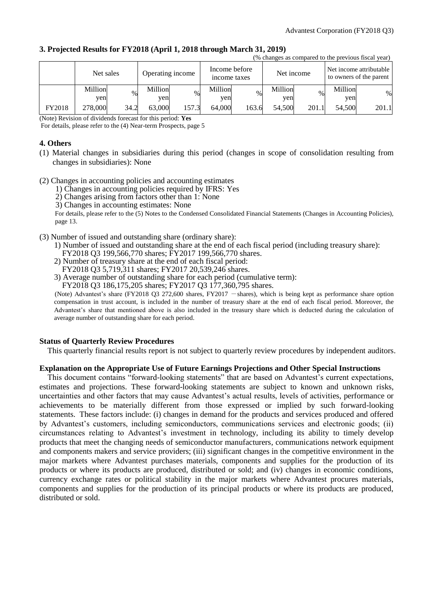|        | (% changes as compared to the previous fiscal year) |               |                  |       |              |               |         |            |         |                                                    |
|--------|-----------------------------------------------------|---------------|------------------|-------|--------------|---------------|---------|------------|---------|----------------------------------------------------|
|        | Net sales                                           |               | Operating income |       | income taxes | Income before |         | Net income |         | Net income attributable<br>to owners of the parent |
|        | Million                                             | $\frac{0}{0}$ | Million          | $\%$  | Million      | $\frac{0}{6}$ | Million | $\%$       | Million | $\%$                                               |
|        | yen                                                 |               | ven              |       | ven          |               | yen     |            | ven     |                                                    |
| FY2018 | 278,000                                             | 34.2          | 63,000           | 157.3 | 64,000       | 163.6         | 54,500  | 201.1      | 54.500  | 201.1                                              |

### **3. Projected Results for FY2018 (April 1, 2018 through March 31, 2019)**

(Note) Revision of dividends forecast for this period: **Yes**

For details, please refer to the (4) Near-term Prospects, page 5

## **4. Others**

- (1) Material changes in subsidiaries during this period (changes in scope of consolidation resulting from changes in subsidiaries): None
- (2) Changes in accounting policies and accounting estimates
	- 1) Changes in accounting policies required by IFRS: Yes
	- 2) Changes arising from factors other than 1: None
	- 3) Changes in accounting estimates: None

For details, please refer to the (5) Notes to the Condensed Consolidated Financial Statements (Changes in Accounting Policies), page 13.

- (3) Number of issued and outstanding share (ordinary share):
	- 1) Number of issued and outstanding share at the end of each fiscal period (including treasury share): FY2018 Q3 199,566,770 shares; FY2017 199,566,770 shares.
	- 2) Number of treasury share at the end of each fiscal period:
	- FY2018 Q3 5,719,311 shares; FY2017 20,539,246 shares.

3) Average number of outstanding share for each period (cumulative term):

FY2018 Q3 186,175,205 shares; FY2017 Q3 177,360,795 shares.

(Note) Advantest's share (FY2018 Q3 272,600 shares, FY2017  $-$  shares), which is being kept as performance share option compensation in trust account, is included in the number of treasury share at the end of each fiscal period. Moreover, the Advantest's share that mentioned above is also included in the treasury share which is deducted during the calculation of average number of outstanding share for each period.

## **Status of Quarterly Review Procedures**

This quarterly financial results report is not subject to quarterly review procedures by independent auditors.

## **Explanation on the Appropriate Use of Future Earnings Projections and Other Special Instructions**

This document contains "forward-looking statements" that are based on Advantest's current expectations, estimates and projections. These forward-looking statements are subject to known and unknown risks, uncertainties and other factors that may cause Advantest's actual results, levels of activities, performance or achievements to be materially different from those expressed or implied by such forward-looking statements. These factors include: (i) changes in demand for the products and services produced and offered by Advantest's customers, including semiconductors, communications services and electronic goods; (ii) circumstances relating to Advantest's investment in technology, including its ability to timely develop products that meet the changing needs of semiconductor manufacturers, communications network equipment and components makers and service providers; (iii) significant changes in the competitive environment in the major markets where Advantest purchases materials, components and supplies for the production of its products or where its products are produced, distributed or sold; and (iv) changes in economic conditions, currency exchange rates or political stability in the major markets where Advantest procures materials, components and supplies for the production of its principal products or where its products are produced, distributed or sold.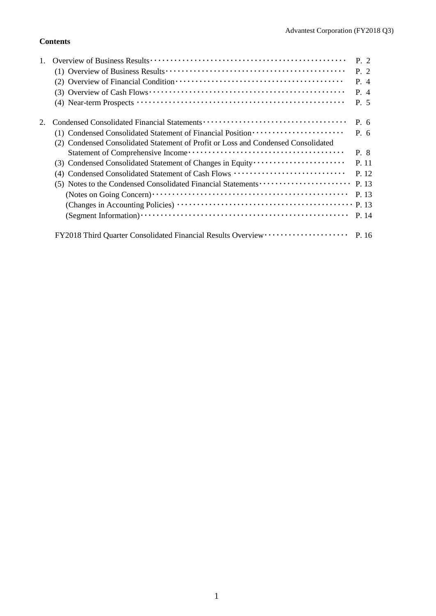## **Contents**

|    |                                                                                   | P. 2      |
|----|-----------------------------------------------------------------------------------|-----------|
|    |                                                                                   | P. 2      |
|    |                                                                                   | P. 4      |
|    |                                                                                   | P. 4      |
|    |                                                                                   | P. 5      |
| 2. |                                                                                   | $P_{0.6}$ |
|    | (1) Condensed Consolidated Statement of Financial Position ······················ | P. 6      |
|    | (2) Condensed Consolidated Statement of Profit or Loss and Condensed Consolidated |           |
|    |                                                                                   | P. 8      |
|    |                                                                                   | P. 11     |
|    | (4) Condensed Consolidated Statement of Cash Flows                                | P. 12     |
|    | (5) Notes to the Condensed Consolidated Financial Statements                      | P. 13     |
|    |                                                                                   | P. 13     |
|    |                                                                                   | P. 13     |
|    |                                                                                   | P. 14     |
|    |                                                                                   |           |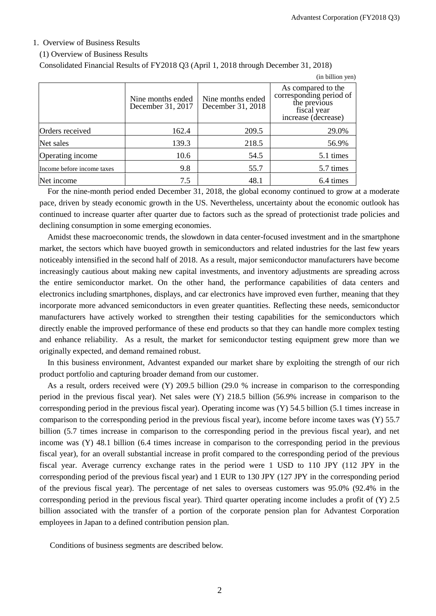### 1. Overview of Business Results

#### (1) Overview of Business Results

Consolidated Financial Results of FY2018 Q3 (April 1, 2018 through December 31, 2018)

|                            |                                        |                                        | (in billion yen)                                                                                    |
|----------------------------|----------------------------------------|----------------------------------------|-----------------------------------------------------------------------------------------------------|
|                            | Nine months ended<br>December 31, 2017 | Nine months ended<br>December 31, 2018 | As compared to the<br>corresponding period of<br>the previous<br>fiscal year<br>increase (decrease) |
| Orders received            | 162.4                                  | 209.5                                  | 29.0%                                                                                               |
| Net sales                  | 139.3                                  | 218.5                                  | 56.9%                                                                                               |
| Operating income           | 10.6                                   | 54.5                                   | 5.1 times                                                                                           |
| Income before income taxes | 9.8                                    | 55.7                                   | 5.7 times                                                                                           |
| Net income                 | 7.5                                    | 48.1                                   | 6.4 times                                                                                           |

For the nine-month period ended December 31, 2018, the global economy continued to grow at a moderate pace, driven by steady economic growth in the US. Nevertheless, uncertainty about the economic outlook has continued to increase quarter after quarter due to factors such as the spread of protectionist trade policies and declining consumption in some emerging economies.

Amidst these macroeconomic trends, the slowdown in data center-focused investment and in the smartphone market, the sectors which have buoyed growth in semiconductors and related industries for the last few years noticeably intensified in the second half of 2018. As a result, major semiconductor manufacturers have become increasingly cautious about making new capital investments, and inventory adjustments are spreading across the entire semiconductor market. On the other hand, the performance capabilities of data centers and electronics including smartphones, displays, and car electronics have improved even further, meaning that they incorporate more advanced semiconductors in even greater quantities. Reflecting these needs, semiconductor manufacturers have actively worked to strengthen their testing capabilities for the semiconductors which directly enable the improved performance of these end products so that they can handle more complex testing and enhance reliability. As a result, the market for semiconductor testing equipment grew more than we originally expected, and demand remained robust.

In this business environment, Advantest expanded our market share by exploiting the strength of our rich product portfolio and capturing broader demand from our customer.

As a result, orders received were (Y) 209.5 billion (29.0 % increase in comparison to the corresponding period in the previous fiscal year). Net sales were (Y) 218.5 billion (56.9% increase in comparison to the corresponding period in the previous fiscal year). Operating income was (Y) 54.5 billion (5.1 times increase in comparison to the corresponding period in the previous fiscal year), income before income taxes was (Y) 55.7 billion (5.7 times increase in comparison to the corresponding period in the previous fiscal year), and net income was (Y) 48.1 billion (6.4 times increase in comparison to the corresponding period in the previous fiscal year), for an overall substantial increase in profit compared to the corresponding period of the previous fiscal year. Average currency exchange rates in the period were 1 USD to 110 JPY (112 JPY in the corresponding period of the previous fiscal year) and 1 EUR to 130 JPY (127 JPY in the corresponding period of the previous fiscal year). The percentage of net sales to overseas customers was 95.0% (92.4% in the corresponding period in the previous fiscal year). Third quarter operating income includes a profit of (Y) 2.5 billion associated with the transfer of a portion of the corporate pension plan for Advantest Corporation employees in Japan to a defined contribution pension plan.

Conditions of business segments are described below.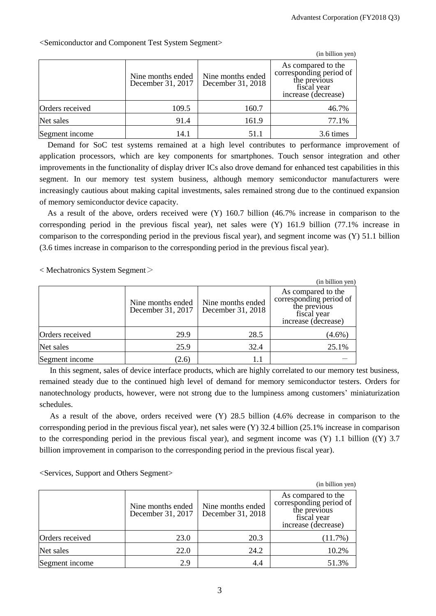|                 |                                        |                                        | (in billion yen)                                                                                    |
|-----------------|----------------------------------------|----------------------------------------|-----------------------------------------------------------------------------------------------------|
|                 | Nine months ended<br>December 31, 2017 | Nine months ended<br>December 31, 2018 | As compared to the<br>corresponding period of<br>the previous<br>fiscal year<br>increase (decrease) |
| Orders received | 109.5                                  | 160.7                                  | 46.7%                                                                                               |
| Net sales       | 91.4                                   | 161.9                                  | 77.1%                                                                                               |
| Segment income  | 14.1                                   | 51.1                                   | 3.6 times                                                                                           |

<Semiconductor and Component Test System Segment>

Demand for SoC test systems remained at a high level contributes to performance improvement of application processors, which are key components for smartphones. Touch sensor integration and other improvements in the functionality of display driver ICs also drove demand for enhanced test capabilities in this segment. In our memory test system business, although memory semiconductor manufacturers were increasingly cautious about making capital investments, sales remained strong due to the continued expansion of memory semiconductor device capacity.

As a result of the above, orders received were (Y) 160.7 billion (46.7% increase in comparison to the corresponding period in the previous fiscal year), net sales were (Y) 161.9 billion (77.1% increase in comparison to the corresponding period in the previous fiscal year), and segment income was (Y) 51.1 billion (3.6 times increase in comparison to the corresponding period in the previous fiscal year).

 $\langle$  Mechatronics System Segment $\langle$ 

|                 |                                        |                                        | (in billion yen)                                                                                    |
|-----------------|----------------------------------------|----------------------------------------|-----------------------------------------------------------------------------------------------------|
|                 | Nine months ended<br>December 31, 2017 | Nine months ended<br>December 31, 2018 | As compared to the<br>corresponding period of<br>the previous<br>fiscal year<br>increase (decrease) |
| Orders received | 29.9                                   | 28.5                                   | $(4.6\%)$                                                                                           |
| Net sales       | 25.9                                   | 32.4                                   | 25.1%                                                                                               |
| Segment income  | (2.6)                                  |                                        |                                                                                                     |

In this segment, sales of device interface products, which are highly correlated to our memory test business, remained steady due to the continued high level of demand for memory semiconductor testers. Orders for nanotechnology products, however, were not strong due to the lumpiness among customers' miniaturization schedules.

As a result of the above, orders received were (Y) 28.5 billion (4.6% decrease in comparison to the corresponding period in the previous fiscal year), net sales were (Y) 32.4 billion (25.1% increase in comparison to the corresponding period in the previous fiscal year), and segment income was  $(Y)$  1.1 billion  $((Y)$  3.7 billion improvement in comparison to the corresponding period in the previous fiscal year).

<Services, Support and Others Segment>

|                 |                                        |                                        | (in billion yen)                                                                                    |
|-----------------|----------------------------------------|----------------------------------------|-----------------------------------------------------------------------------------------------------|
|                 | Nine months ended<br>December 31, 2017 | Nine months ended<br>December 31, 2018 | As compared to the<br>corresponding period of<br>the previous<br>fiscal year<br>increase (decrease) |
| Orders received | 23.0                                   | 20.3                                   | $(11.7\%)$                                                                                          |
| Net sales       | 22.0                                   | 24.2                                   | 10.2%                                                                                               |
| Segment income  | 2.9                                    | 4.4                                    | 51.3%                                                                                               |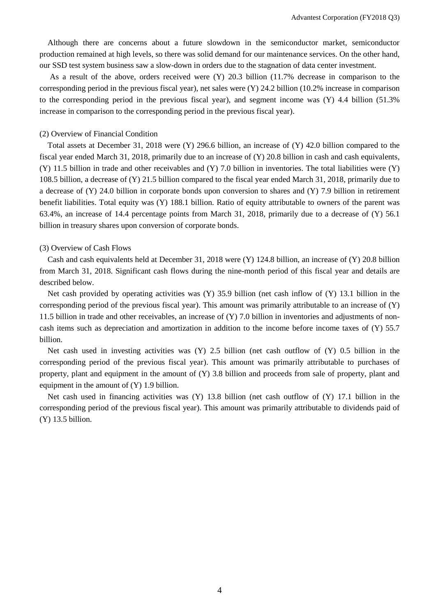Although there are concerns about a future slowdown in the semiconductor market, semiconductor production remained at high levels, so there was solid demand for our maintenance services. On the other hand, our SSD test system business saw a slow-down in orders due to the stagnation of data center investment.

As a result of the above, orders received were (Y) 20.3 billion (11.7% decrease in comparison to the corresponding period in the previous fiscal year), net sales were (Y) 24.2 billion (10.2% increase in comparison to the corresponding period in the previous fiscal year), and segment income was (Y) 4.4 billion (51.3% increase in comparison to the corresponding period in the previous fiscal year).

### (2) Overview of Financial Condition

Total assets at December 31, 2018 were (Y) 296.6 billion, an increase of (Y) 42.0 billion compared to the fiscal year ended March 31, 2018, primarily due to an increase of (Y) 20.8 billion in cash and cash equivalents, (Y) 11.5 billion in trade and other receivables and (Y) 7.0 billion in inventories. The total liabilities were (Y) 108.5 billion, a decrease of (Y) 21.5 billion compared to the fiscal year ended March 31, 2018, primarily due to a decrease of (Y) 24.0 billion in corporate bonds upon conversion to shares and (Y) 7.9 billion in retirement benefit liabilities. Total equity was (Y) 188.1 billion. Ratio of equity attributable to owners of the parent was 63.4%, an increase of 14.4 percentage points from March 31, 2018, primarily due to a decrease of (Y) 56.1 billion in treasury shares upon conversion of corporate bonds.

#### (3) Overview of Cash Flows

Cash and cash equivalents held at December 31, 2018 were (Y) 124.8 billion, an increase of (Y) 20.8 billion from March 31, 2018. Significant cash flows during the nine-month period of this fiscal year and details are described below.

Net cash provided by operating activities was (Y) 35.9 billion (net cash inflow of (Y) 13.1 billion in the corresponding period of the previous fiscal year). This amount was primarily attributable to an increase of (Y) 11.5 billion in trade and other receivables, an increase of (Y) 7.0 billion in inventories and adjustments of noncash items such as depreciation and amortization in addition to the income before income taxes of (Y) 55.7 billion.

Net cash used in investing activities was (Y) 2.5 billion (net cash outflow of (Y) 0.5 billion in the corresponding period of the previous fiscal year). This amount was primarily attributable to purchases of property, plant and equipment in the amount of (Y) 3.8 billion and proceeds from sale of property, plant and equipment in the amount of (Y) 1.9 billion.

Net cash used in financing activities was (Y) 13.8 billion (net cash outflow of (Y) 17.1 billion in the corresponding period of the previous fiscal year). This amount was primarily attributable to dividends paid of (Y) 13.5 billion.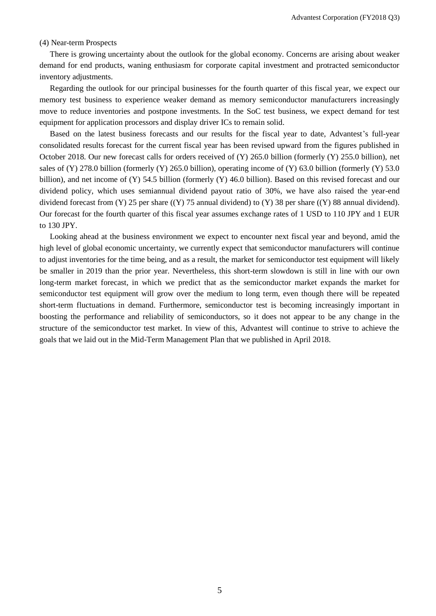### (4) Near-term Prospects

There is growing uncertainty about the outlook for the global economy. Concerns are arising about weaker demand for end products, waning enthusiasm for corporate capital investment and protracted semiconductor inventory adjustments.

Regarding the outlook for our principal businesses for the fourth quarter of this fiscal year, we expect our memory test business to experience weaker demand as memory semiconductor manufacturers increasingly move to reduce inventories and postpone investments. In the SoC test business, we expect demand for test equipment for application processors and display driver ICs to remain solid.

Based on the latest business forecasts and our results for the fiscal year to date, Advantest's full-year consolidated results forecast for the current fiscal year has been revised upward from the figures published in October 2018. Our new forecast calls for orders received of (Y) 265.0 billion (formerly (Y) 255.0 billion), net sales of (Y) 278.0 billion (formerly (Y) 265.0 billion), operating income of (Y) 63.0 billion (formerly (Y) 53.0 billion), and net income of (Y) 54.5 billion (formerly (Y) 46.0 billion). Based on this revised forecast and our dividend policy, which uses semiannual dividend payout ratio of 30%, we have also raised the year-end dividend forecast from (Y) 25 per share ((Y) 75 annual dividend) to (Y) 38 per share ((Y) 88 annual dividend). Our forecast for the fourth quarter of this fiscal year assumes exchange rates of 1 USD to 110 JPY and 1 EUR to 130 JPY.

Looking ahead at the business environment we expect to encounter next fiscal year and beyond, amid the high level of global economic uncertainty, we currently expect that semiconductor manufacturers will continue to adjust inventories for the time being, and as a result, the market for semiconductor test equipment will likely be smaller in 2019 than the prior year. Nevertheless, this short-term slowdown is still in line with our own long-term market forecast, in which we predict that as the semiconductor market expands the market for semiconductor test equipment will grow over the medium to long term, even though there will be repeated short-term fluctuations in demand. Furthermore, semiconductor test is becoming increasingly important in boosting the performance and reliability of semiconductors, so it does not appear to be any change in the structure of the semiconductor test market. In view of this, Advantest will continue to strive to achieve the goals that we laid out in the Mid-Term Management Plan that we published in April 2018.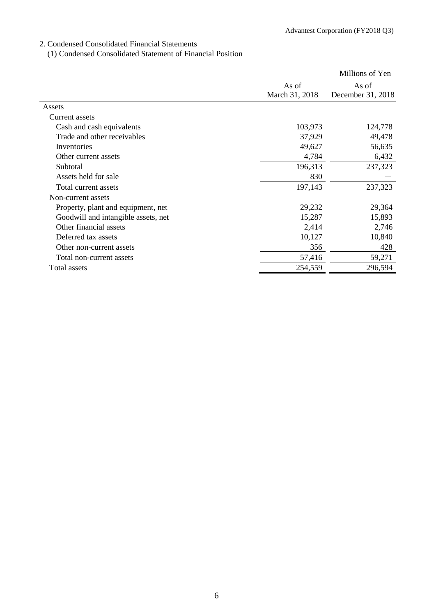## 2. Condensed Consolidated Financial Statements

(1) Condensed Consolidated Statement of Financial Position

|                                     |                | Millions of Yen   |
|-------------------------------------|----------------|-------------------|
|                                     | As of          | As of             |
|                                     | March 31, 2018 | December 31, 2018 |
| Assets                              |                |                   |
| Current assets                      |                |                   |
| Cash and cash equivalents           | 103,973        | 124,778           |
| Trade and other receivables         | 37,929         | 49,478            |
| Inventories                         | 49,627         | 56,635            |
| Other current assets                | 4,784          | 6,432             |
| Subtotal                            | 196,313        | 237,323           |
| Assets held for sale                | 830            |                   |
| Total current assets                | 197,143        | 237,323           |
| Non-current assets                  |                |                   |
| Property, plant and equipment, net  | 29,232         | 29,364            |
| Goodwill and intangible assets, net | 15,287         | 15,893            |
| Other financial assets              | 2,414          | 2,746             |
| Deferred tax assets                 | 10,127         | 10,840            |
| Other non-current assets            | 356            | 428               |
| Total non-current assets            | 57,416         | 59,271            |
| Total assets                        | 254,559        | 296,594           |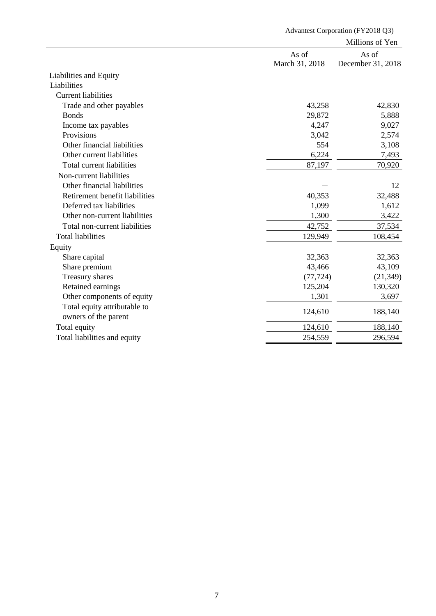|                                |                | Millions of Yen   |
|--------------------------------|----------------|-------------------|
|                                | As of          | As of             |
|                                | March 31, 2018 | December 31, 2018 |
| Liabilities and Equity         |                |                   |
| Liabilities                    |                |                   |
| <b>Current liabilities</b>     |                |                   |
| Trade and other payables       | 43,258         | 42,830            |
| <b>Bonds</b>                   | 29,872         | 5,888             |
| Income tax payables            | 4,247          | 9,027             |
| Provisions                     | 3,042          | 2,574             |
| Other financial liabilities    | 554            | 3,108             |
| Other current liabilities      | 6,224          | 7,493             |
| Total current liabilities      | 87,197         | 70,920            |
| Non-current liabilities        |                |                   |
| Other financial liabilities    |                | 12                |
| Retirement benefit liabilities | 40,353         | 32,488            |
| Deferred tax liabilities       | 1,099          | 1,612             |
| Other non-current liabilities  | 1,300          | 3,422             |
| Total non-current liabilities  | 42,752         | 37,534            |
| <b>Total liabilities</b>       | 129,949        | 108,454           |
| Equity                         |                |                   |
| Share capital                  | 32,363         | 32,363            |
| Share premium                  | 43,466         | 43,109            |
| Treasury shares                | (77, 724)      | (21, 349)         |
| Retained earnings              | 125,204        | 130,320           |
| Other components of equity     | 1,301          | 3,697             |
| Total equity attributable to   |                |                   |
| owners of the parent           | 124,610        | 188,140           |
| Total equity                   | 124,610        | 188,140           |
| Total liabilities and equity   | 254,559        | 296,594           |

Advantest Corporation (FY2018 Q3)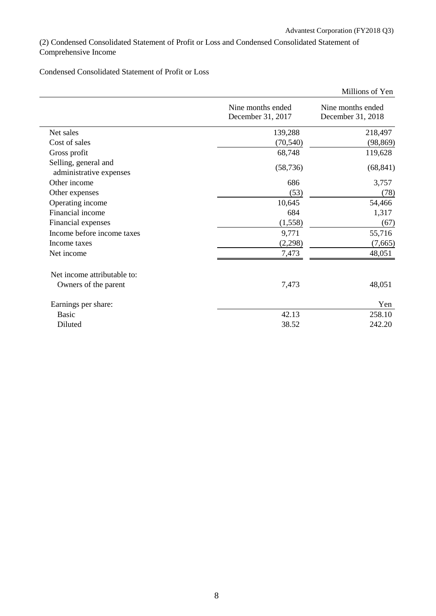(2) Condensed Consolidated Statement of Profit or Loss and Condensed Consolidated Statement of Comprehensive Income

Condensed Consolidated Statement of Profit or Loss

|                                                 |                                        | Millions of Yen                        |
|-------------------------------------------------|----------------------------------------|----------------------------------------|
|                                                 | Nine months ended<br>December 31, 2017 | Nine months ended<br>December 31, 2018 |
| Net sales                                       | 139,288                                | 218,497                                |
| Cost of sales                                   | (70, 540)                              | (98, 869)                              |
| Gross profit                                    | 68,748                                 | 119,628                                |
| Selling, general and<br>administrative expenses | (58, 736)                              | (68, 841)                              |
| Other income                                    | 686                                    | 3,757                                  |
| Other expenses                                  | (53)                                   | (78)                                   |
| Operating income                                | 10,645                                 | 54,466                                 |
| Financial income                                | 684                                    | 1,317                                  |
| Financial expenses                              | (1,558)                                | (67)                                   |
| Income before income taxes                      | 9,771                                  | 55,716                                 |
| Income taxes                                    | (2,298)                                | (7,665)                                |
| Net income                                      | 7,473                                  | 48,051                                 |
| Net income attributable to:                     |                                        |                                        |
| Owners of the parent                            | 7,473                                  | 48,051                                 |
| Earnings per share:                             |                                        | Yen                                    |
| <b>Basic</b>                                    | 42.13                                  | 258.10                                 |
| Diluted                                         | 38.52                                  | 242.20                                 |
|                                                 |                                        |                                        |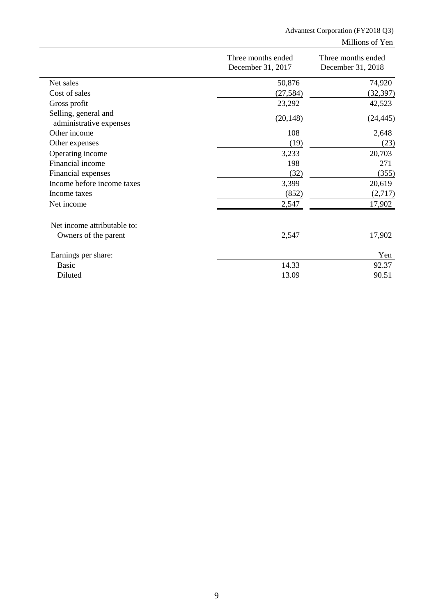## Advantest Corporation (FY2018 Q3) Millions of Yen

|                                                 | Three months ended<br>December 31, 2017 | Three months ended<br>December 31, 2018 |  |
|-------------------------------------------------|-----------------------------------------|-----------------------------------------|--|
| Net sales                                       | 50,876                                  | 74,920                                  |  |
| Cost of sales                                   | (27, 584)                               | (32, 397)                               |  |
| Gross profit                                    | 23,292                                  | 42,523                                  |  |
| Selling, general and<br>administrative expenses | (20, 148)                               | (24, 445)                               |  |
| Other income                                    | 108                                     | 2,648                                   |  |
| Other expenses                                  | (19)                                    | (23)                                    |  |
| Operating income                                | 3,233                                   | 20,703                                  |  |
| Financial income                                | 198                                     | 271                                     |  |
| Financial expenses                              | (32)                                    | (355)                                   |  |
| Income before income taxes                      | 3,399                                   | 20,619                                  |  |
| Income taxes                                    | (852)                                   | (2,717)                                 |  |
| Net income                                      | 2,547                                   | 17,902                                  |  |
| Net income attributable to:                     |                                         |                                         |  |
| Owners of the parent                            | 2,547                                   | 17,902                                  |  |
| Earnings per share:                             |                                         | Yen                                     |  |
| <b>Basic</b>                                    | 14.33                                   | 92.37                                   |  |
| Diluted                                         | 13.09                                   | 90.51                                   |  |
|                                                 |                                         |                                         |  |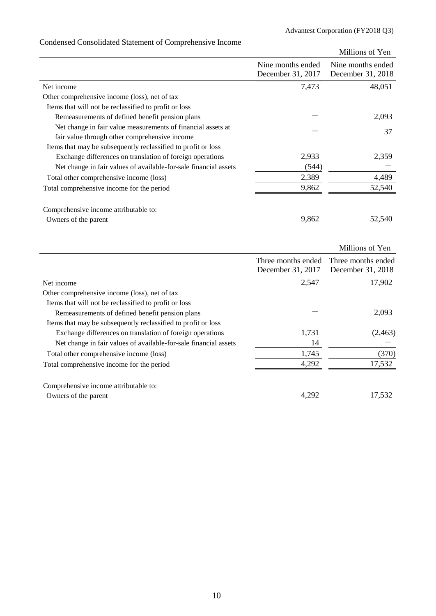|                                                                  |                                        | Millions of Yen                        |
|------------------------------------------------------------------|----------------------------------------|----------------------------------------|
|                                                                  | Nine months ended<br>December 31, 2017 | Nine months ended<br>December 31, 2018 |
| Net income                                                       | 7,473                                  | 48,051                                 |
| Other comprehensive income (loss), net of tax                    |                                        |                                        |
| Items that will not be reclassified to profit or loss            |                                        |                                        |
| Remeasurements of defined benefit pension plans                  |                                        | 2,093                                  |
| Net change in fair value measurements of financial assets at     |                                        | 37                                     |
| fair value through other comprehensive income                    |                                        |                                        |
| Items that may be subsequently reclassified to profit or loss    |                                        |                                        |
| Exchange differences on translation of foreign operations        | 2,933                                  | 2,359                                  |
| Net change in fair values of available-for-sale financial assets | (544)                                  |                                        |
| Total other comprehensive income (loss)                          | 2,389                                  | 4,489                                  |
| Total comprehensive income for the period                        | 9,862                                  | 52,540                                 |
| Comprehensive income attributable to:                            |                                        |                                        |
| Owners of the parent                                             | 9,862                                  | 52,540                                 |
|                                                                  |                                        |                                        |

# Condensed Consolidated Statement of Comprehensive Income

|                                                                  |                    | Millions of Yen    |
|------------------------------------------------------------------|--------------------|--------------------|
|                                                                  | Three months ended | Three months ended |
|                                                                  | December 31, 2017  | December 31, 2018  |
| Net income                                                       | 2,547              | 17,902             |
| Other comprehensive income (loss), net of tax                    |                    |                    |
| Items that will not be reclassified to profit or loss            |                    |                    |
| Remeasurements of defined benefit pension plans                  |                    | 2,093              |
| Items that may be subsequently reclassified to profit or loss    |                    |                    |
| Exchange differences on translation of foreign operations        | 1,731              | (2, 463)           |
| Net change in fair values of available-for-sale financial assets | 14                 |                    |
| Total other comprehensive income (loss)                          | 1,745              | (370)              |
| Total comprehensive income for the period                        | 4,292              | 17,532             |
| Comprehensive income attributable to:                            |                    |                    |
| Owners of the parent                                             | 4,292              | 17,532             |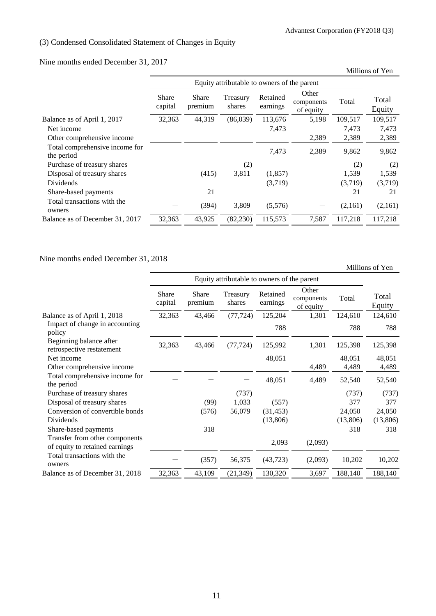## (3) Condensed Consolidated Statement of Changes in Equity

Nine months ended December 31, 2017

|                                              |                         |                         |                                             |                      |                                  |         | Millions of Yen |
|----------------------------------------------|-------------------------|-------------------------|---------------------------------------------|----------------------|----------------------------------|---------|-----------------|
|                                              |                         |                         | Equity attributable to owners of the parent |                      |                                  |         |                 |
|                                              | <b>Share</b><br>capital | <b>Share</b><br>premium | Treasury<br>shares                          | Retained<br>earnings | Other<br>components<br>of equity | Total   | Total<br>Equity |
| Balance as of April 1, 2017                  | 32,363                  | 44,319                  | (86,039)                                    | 113,676              | 5,198                            | 109,517 | 109,517         |
| Net income                                   |                         |                         |                                             | 7,473                |                                  | 7,473   | 7,473           |
| Other comprehensive income                   |                         |                         |                                             |                      | 2,389                            | 2,389   | 2,389           |
| Total comprehensive income for<br>the period |                         |                         |                                             | 7,473                | 2,389                            | 9,862   | 9,862           |
| Purchase of treasury shares                  |                         |                         | (2)                                         |                      |                                  | (2)     | (2)             |
| Disposal of treasury shares                  |                         | (415)                   | 3,811                                       | (1, 857)             |                                  | 1,539   | 1,539           |
| Dividends                                    |                         |                         |                                             | (3,719)              |                                  | (3,719) | (3,719)         |
| Share-based payments                         |                         | 21                      |                                             |                      |                                  | 21      | 21              |
| Total transactions with the<br>owners        |                         | (394)                   | 3,809                                       | (5,576)              |                                  | (2,161) | (2,161)         |
| Balance as of December 31, 2017              | 32,363                  | 43,925                  | (82, 230)                                   | 115,573              | 7,587                            | 117,218 | 117,218         |

Nine months ended December 31, 2018

Millions of Yen

|                                                                  | Equity attributable to owners of the parent |                  |                    |                      |                                  |          |                 |
|------------------------------------------------------------------|---------------------------------------------|------------------|--------------------|----------------------|----------------------------------|----------|-----------------|
|                                                                  | Share<br>capital                            | Share<br>premium | Treasury<br>shares | Retained<br>earnings | Other<br>components<br>of equity | Total    | Total<br>Equity |
| Balance as of April 1, 2018                                      | 32,363                                      | 43,466           | (77, 724)          | 125,204              | 1,301                            | 124,610  | 124,610         |
| Impact of change in accounting<br>policy                         |                                             |                  |                    | 788                  |                                  | 788      | 788             |
| Beginning balance after<br>retrospective restatement             | 32,363                                      | 43,466           | (77, 724)          | 125,992              | 1,301                            | 125,398  | 125,398         |
| Net income                                                       |                                             |                  |                    | 48,051               |                                  | 48,051   | 48,051          |
| Other comprehensive income                                       |                                             |                  |                    |                      | 4,489                            | 4,489    | 4,489           |
| Total comprehensive income for<br>the period                     |                                             |                  |                    | 48,051               | 4,489                            | 52,540   | 52,540          |
| Purchase of treasury shares                                      |                                             |                  | (737)              |                      |                                  | (737)    | (737)           |
| Disposal of treasury shares                                      |                                             | (99)             | 1,033              | (557)                |                                  | 377      | 377             |
| Conversion of convertible bonds                                  |                                             | (576)            | 56,079             | (31, 453)            |                                  | 24,050   | 24,050          |
| Dividends                                                        |                                             |                  |                    | (13,806)             |                                  | (13,806) | (13,806)        |
| Share-based payments                                             |                                             | 318              |                    |                      |                                  | 318      | 318             |
| Transfer from other components<br>of equity to retained earnings |                                             |                  |                    | 2,093                | (2,093)                          |          |                 |
| Total transactions with the<br>owners                            |                                             | (357)            | 56,375             | (43, 723)            | (2,093)                          | 10,202   | 10,202          |
| Balance as of December 31, 2018                                  | 32,363                                      | 43,109           | (21, 349)          | 130,320              | 3,697                            | 188,140  | 188,140         |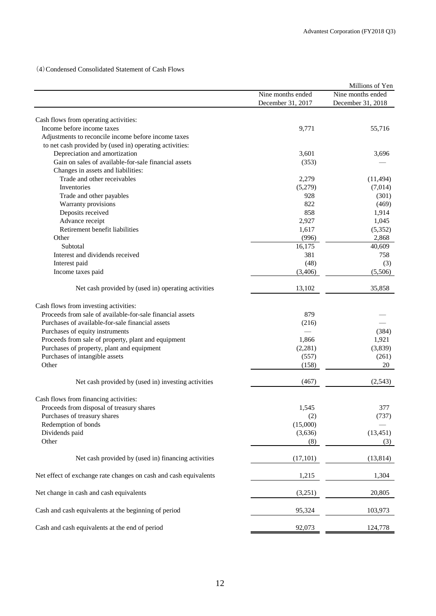(4)Condensed Consolidated Statement of Cash Flows

|                                                                  |                                        | Millions of Yen                        |
|------------------------------------------------------------------|----------------------------------------|----------------------------------------|
|                                                                  | Nine months ended<br>December 31, 2017 | Nine months ended<br>December 31, 2018 |
|                                                                  |                                        |                                        |
| Cash flows from operating activities:                            |                                        |                                        |
| Income before income taxes                                       | 9,771                                  | 55,716                                 |
| Adjustments to reconcile income before income taxes              |                                        |                                        |
| to net cash provided by (used in) operating activities:          |                                        |                                        |
| Depreciation and amortization                                    | 3,601                                  | 3,696                                  |
| Gain on sales of available-for-sale financial assets             | (353)                                  |                                        |
| Changes in assets and liabilities:                               |                                        |                                        |
| Trade and other receivables                                      | 2,279                                  | (11, 494)                              |
| Inventories                                                      | (5,279)                                | (7,014)                                |
| Trade and other payables                                         | 928                                    | (301)                                  |
| Warranty provisions                                              | 822                                    | (469)                                  |
| Deposits received                                                | 858                                    | 1,914                                  |
| Advance receipt                                                  | 2,927                                  | 1,045                                  |
| Retirement benefit liabilities                                   | 1,617                                  | (5,352)                                |
| Other                                                            | (996)                                  | 2,868                                  |
| Subtotal                                                         | 16,175                                 | 40,609                                 |
| Interest and dividends received                                  | 381                                    | 758                                    |
| Interest paid                                                    | (48)                                   | (3)                                    |
| Income taxes paid                                                | (3,406)                                | (5,506)                                |
| Net cash provided by (used in) operating activities              | 13,102                                 | 35,858                                 |
| Cash flows from investing activities:                            |                                        |                                        |
| Proceeds from sale of available-for-sale financial assets        | 879                                    |                                        |
| Purchases of available-for-sale financial assets                 | (216)                                  |                                        |
| Purchases of equity instruments                                  |                                        | (384)                                  |
| Proceeds from sale of property, plant and equipment              | 1,866                                  | 1,921                                  |
|                                                                  |                                        | (3,839)                                |
| Purchases of property, plant and equipment                       | (2,281)                                |                                        |
| Purchases of intangible assets<br>Other                          | (557)<br>(158)                         | (261)<br>20                            |
|                                                                  |                                        |                                        |
| Net cash provided by (used in) investing activities              | (467)                                  | (2,543)                                |
| Cash flows from financing activities:                            |                                        |                                        |
| Proceeds from disposal of treasury shares                        | 1,545                                  | 377                                    |
| Purchases of treasury shares                                     | (2)                                    | (737)                                  |
| Redemption of bonds                                              | (15,000)                               |                                        |
| Dividends paid                                                   | (3,636)                                | (13, 451)                              |
| Other                                                            | (8)                                    | (3)                                    |
| Net cash provided by (used in) financing activities              | (17, 101)                              | (13, 814)                              |
| Net effect of exchange rate changes on cash and cash equivalents | 1,215                                  | 1,304                                  |
| Net change in cash and cash equivalents                          | (3,251)                                | 20,805                                 |
| Cash and cash equivalents at the beginning of period             | 95,324                                 | 103,973                                |
| Cash and cash equivalents at the end of period                   | 92,073                                 | 124,778                                |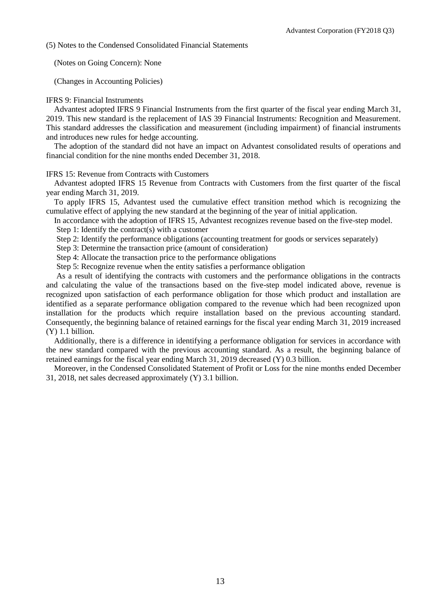(5) Notes to the Condensed Consolidated Financial Statements

(Notes on Going Concern): None

(Changes in Accounting Policies)

### IFRS 9: Financial Instruments

Advantest adopted IFRS 9 Financial Instruments from the first quarter of the fiscal year ending March 31, 2019. This new standard is the replacement of IAS 39 Financial Instruments: Recognition and Measurement. This standard addresses the classification and measurement (including impairment) of financial instruments and introduces new rules for hedge accounting.

The adoption of the standard did not have an impact on Advantest consolidated results of operations and financial condition for the nine months ended December 31, 2018.

IFRS 15: Revenue from Contracts with Customers

Advantest adopted IFRS 15 Revenue from Contracts with Customers from the first quarter of the fiscal year ending March 31, 2019.

To apply IFRS 15, Advantest used the cumulative effect transition method which is recognizing the cumulative effect of applying the new standard at the beginning of the year of initial application.

In accordance with the adoption of IFRS 15, Advantest recognizes revenue based on the five-step model.

Step 1: Identify the contract(s) with a customer

Step 2: Identify the performance obligations (accounting treatment for goods or services separately)

Step 3: Determine the transaction price (amount of consideration)

Step 4: Allocate the transaction price to the performance obligations

Step 5: Recognize revenue when the entity satisfies a performance obligation

As a result of identifying the contracts with customers and the performance obligations in the contracts and calculating the value of the transactions based on the five-step model indicated above, revenue is recognized upon satisfaction of each performance obligation for those which product and installation are identified as a separate performance obligation compared to the revenue which had been recognized upon installation for the products which require installation based on the previous accounting standard. Consequently, the beginning balance of retained earnings for the fiscal year ending March 31, 2019 increased (Y) 1.1 billion.

Additionally, there is a difference in identifying a performance obligation for services in accordance with the new standard compared with the previous accounting standard. As a result, the beginning balance of retained earnings for the fiscal year ending March 31, 2019 decreased (Y) 0.3 billion.

Moreover, in the Condensed Consolidated Statement of Profit or Loss for the nine months ended December 31, 2018, net sales decreased approximately (Y) 3.1 billion.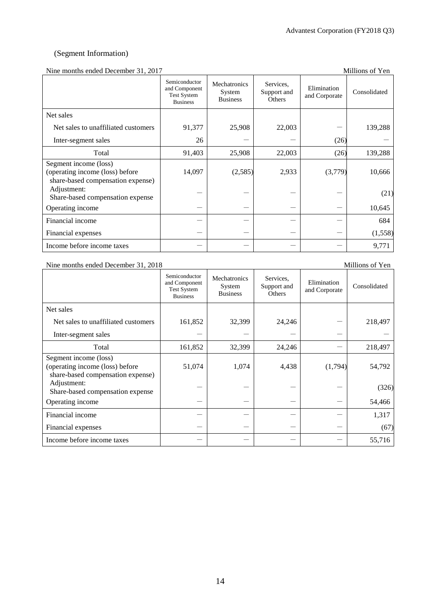## (Segment Information)

## Nine months ended December 31, 2017 Millions of Yen

| Third indiffus chucu December 91, 2017                                                        |                                                                         |                                           |                                    |                              | TATTITIOITA OLI TIOIT |
|-----------------------------------------------------------------------------------------------|-------------------------------------------------------------------------|-------------------------------------------|------------------------------------|------------------------------|-----------------------|
|                                                                                               | Semiconductor<br>and Component<br><b>Test System</b><br><b>Business</b> | Mechatronics<br>System<br><b>Business</b> | Services,<br>Support and<br>Others | Elimination<br>and Corporate | Consolidated          |
| Net sales                                                                                     |                                                                         |                                           |                                    |                              |                       |
| Net sales to unaffiliated customers                                                           | 91,377                                                                  | 25,908                                    | 22,003                             |                              | 139,288               |
| Inter-segment sales                                                                           | 26                                                                      |                                           |                                    | (26)                         |                       |
| Total                                                                                         | 91,403                                                                  | 25,908                                    | 22,003                             | (26)                         | 139,288               |
| Segment income (loss)<br>(operating income (loss) before<br>share-based compensation expense) | 14,097                                                                  | (2,585)                                   | 2,933                              | (3,779)                      | 10,666                |
| Adjustment:<br>Share-based compensation expense                                               |                                                                         |                                           |                                    |                              | (21)                  |
| Operating income                                                                              |                                                                         |                                           |                                    |                              | 10,645                |
| Financial income                                                                              |                                                                         |                                           |                                    |                              | 684                   |
| Financial expenses                                                                            |                                                                         |                                           |                                    |                              | (1,558)               |
| Income before income taxes                                                                    |                                                                         |                                           |                                    |                              | 9,771                 |

### Nine months ended December 31, 2018 Millions of Yen

|                                                                                               | Semiconductor<br>and Component<br><b>Test System</b><br><b>Business</b> | Mechatronics<br>System<br><b>Business</b> | Services,<br>Support and<br>Others | Elimination<br>and Corporate | Consolidated |
|-----------------------------------------------------------------------------------------------|-------------------------------------------------------------------------|-------------------------------------------|------------------------------------|------------------------------|--------------|
| Net sales                                                                                     |                                                                         |                                           |                                    |                              |              |
| Net sales to unaffiliated customers                                                           | 161,852                                                                 | 32,399                                    | 24,246                             |                              | 218,497      |
| Inter-segment sales                                                                           |                                                                         |                                           |                                    |                              |              |
| Total                                                                                         | 161,852                                                                 | 32,399                                    | 24,246                             |                              | 218,497      |
| Segment income (loss)<br>(operating income (loss) before<br>share-based compensation expense) | 51,074                                                                  | 1,074                                     | 4,438                              | (1,794)                      | 54,792       |
| Adjustment:<br>Share-based compensation expense                                               |                                                                         |                                           |                                    |                              | (326)        |
| Operating income                                                                              |                                                                         |                                           |                                    |                              | 54,466       |
| Financial income                                                                              |                                                                         |                                           |                                    |                              | 1,317        |
| Financial expenses                                                                            |                                                                         |                                           |                                    |                              | (67)         |
| Income before income taxes                                                                    |                                                                         |                                           |                                    |                              | 55,716       |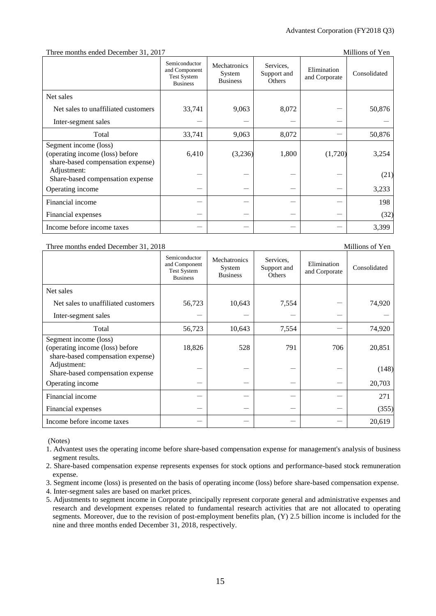### Three months ended December 31, 2017

| Millions of Yen |  |
|-----------------|--|
|-----------------|--|

|                                                                                               | Semiconductor<br>and Component<br><b>Test System</b><br><b>Business</b> | Mechatronics<br>System<br><b>Business</b> | Services,<br>Support and<br>Others | Elimination<br>and Corporate | Consolidated |
|-----------------------------------------------------------------------------------------------|-------------------------------------------------------------------------|-------------------------------------------|------------------------------------|------------------------------|--------------|
| Net sales                                                                                     |                                                                         |                                           |                                    |                              |              |
| Net sales to unaffiliated customers                                                           | 33,741                                                                  | 9,063                                     | 8,072                              |                              | 50,876       |
| Inter-segment sales                                                                           |                                                                         |                                           |                                    |                              |              |
| Total                                                                                         | 33,741                                                                  | 9,063                                     | 8,072                              |                              | 50,876       |
| Segment income (loss)<br>(operating income (loss) before<br>share-based compensation expense) | 6,410                                                                   | (3,236)                                   | 1,800                              | (1,720)                      | 3,254        |
| Adjustment:<br>Share-based compensation expense                                               |                                                                         |                                           |                                    |                              | (21)         |
| Operating income                                                                              |                                                                         |                                           |                                    |                              | 3,233        |
| Financial income                                                                              |                                                                         |                                           |                                    |                              | 198          |
| Financial expenses                                                                            |                                                                         |                                           |                                    |                              | (32)         |
| Income before income taxes                                                                    |                                                                         |                                           |                                    |                              | 3,399        |

### Three months ended December 31, 2018 Millions of Yen

Semiconductor and Component Test System Business Mechatronics System **Business** Services, Support and **Others** Elimination Elimination<br>and Corporate Consolidated Net sales Net sales to unaffiliated customers  $\begin{vmatrix} 56,723 & 10,643 & 7,554 & - \end{vmatrix}$  74,920 Inter-segment sales  $-$ Total  $56,723$  10,643 7,554 - 74,920 Segment income (loss) (operating income (loss) before share-based compensation expense) 18,826 528 791 706 20,851 Adjustment: Share-based compensation expense  $(148)$ Operating income - - - - 20,703 Financial income  $271$ Financial expenses  $(355)$ Income before income taxes  $20,619$ 

(Notes)

1. Advantest uses the operating income before share-based compensation expense for management's analysis of business segment results.

2. Share-based compensation expense represents expenses for stock options and performance-based stock remuneration expense.

3. Segment income (loss) is presented on the basis of operating income (loss) before share-based compensation expense.

4. Inter-segment sales are based on market prices.

5. Adjustments to segment income in Corporate principally represent corporate general and administrative expenses and research and development expenses related to fundamental research activities that are not allocated to operating segments. Moreover, due to the revision of post-employment benefits plan, (Y) 2.5 billion income is included for the nine and three months ended December 31, 2018, respectively.